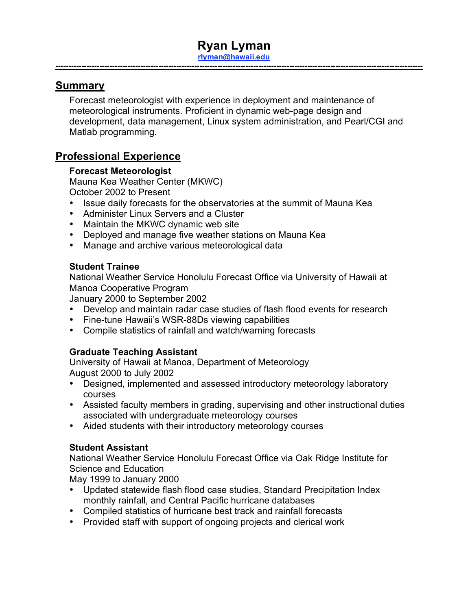## **Ryan Lyman rlyman@hawaii.edu**

**-----------------------------------------------------------------------------------------------------------------------------------------------**

### **Summary**

Forecast meteorologist with experience in deployment and maintenance of meteorological instruments. Proficient in dynamic web-page design and development, data management, Linux system administration, and Pearl/CGI and Matlab programming.

## **Professional Experience**

#### **Forecast Meteorologist**

Mauna Kea Weather Center (MKWC) October 2002 to Present

- Issue daily forecasts for the observatories at the summit of Mauna Kea
- Administer Linux Servers and a Cluster
- Maintain the MKWC dynamic web site
- Deployed and manage five weather stations on Mauna Kea
- Manage and archive various meteorological data

#### **Student Trainee**

National Weather Service Honolulu Forecast Office via University of Hawaii at Manoa Cooperative Program

January 2000 to September 2002

- Develop and maintain radar case studies of flash flood events for research
- Fine-tune Hawaii's WSR-88Ds viewing capabilities
- Compile statistics of rainfall and watch/warning forecasts

### **Graduate Teaching Assistant**

University of Hawaii at Manoa, Department of Meteorology August 2000 to July 2002

- Designed, implemented and assessed introductory meteorology laboratory courses
- Assisted faculty members in grading, supervising and other instructional duties associated with undergraduate meteorology courses
- Aided students with their introductory meteorology courses

#### **Student Assistant**

National Weather Service Honolulu Forecast Office via Oak Ridge Institute for Science and Education

May 1999 to January 2000

- Updated statewide flash flood case studies, Standard Precipitation Index monthly rainfall, and Central Pacific hurricane databases
- Compiled statistics of hurricane best track and rainfall forecasts
- Provided staff with support of ongoing projects and clerical work